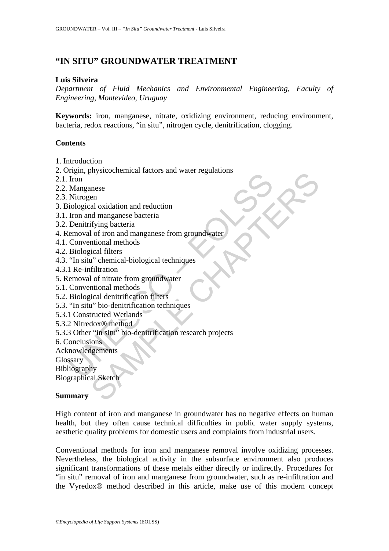# **"IN SITU" GROUNDWATER TREATMENT**

#### **Luis Silveira**

*Department of Fluid Mechanics and Environmental Engineering, Faculty of Engineering, Montevideo, Uruguay* 

**Keywords:** iron, manganese, nitrate, oxidizing environment, reducing environment, bacteria, redox reactions, "in situ", nitrogen cycle, denitrification, clogging.

### **Contents**

- 1. Introduction
- 2. Origin, physicochemical factors and water regulations
- 2.1. Iron
- 2.2. Manganese
- 2.3. Nitrogen
- 3. Biological oxidation and reduction
- 3.1. Iron and manganese bacteria
- 3.2. Denitrifying bacteria
- 4. Removal of iron and manganese from groundwater
- 4.1. Conventional methods
- 4.2. Biological filters
- 4.3. "In situ" chemical-biological techniques
- 4.3.1 Re-infiltration
- 5. Removal of nitrate from groundwater
- 5.1. Conventional methods
- 5.2. Biological denitrification filters
- 5.3. "In situ" bio-denitrification techniques
- 5.3.1 Constructed Wetlands
- 5.3.2 Nitredox® method
- Figure the mission and magnitude of the mission of the mission of the Margarete<br>
Iron and magninese bacteria<br>
Uncommodulation and reduction<br>
Iron and magninese theorem are external<br>
emoval of iron and magninese from ground Mystochemical racions and watel regulations<br>times<br>all oxidation and reduction<br>id manganese bacteria<br>if ying bacteria<br>ortional methods<br>incolar flitters<br>incolar flitters<br>incolar different propositions<br>of the minimal methods<br> 5.3.3 Other "in situ" bio-denitrification research projects
- 6. Conclusions
- Acknowledgements

**Glossary** 

Bibliography

Biographical Sketch

#### **Summary**

High content of iron and manganese in groundwater has no negative effects on human health, but they often cause technical difficulties in public water supply systems, aesthetic quality problems for domestic users and complaints from industrial users.

Conventional methods for iron and manganese removal involve oxidizing processes. Nevertheless, the biological activity in the subsurface environment also produces significant transformations of these metals either directly or indirectly. Procedures for "in situ" removal of iron and manganese from groundwater, such as re-infiltration and the Vyredox® method described in this article, make use of this modern concept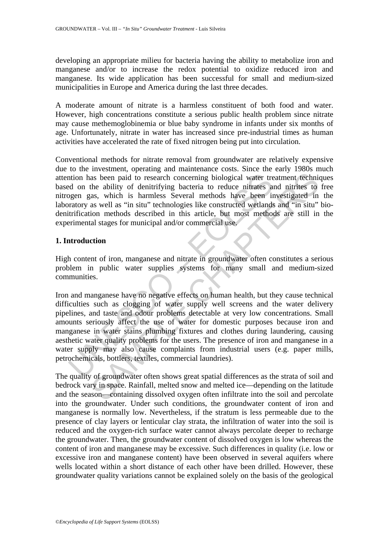developing an appropriate milieu for bacteria having the ability to metabolize iron and manganese and/or to increase the redox potential to oxidize reduced iron and manganese. Its wide application has been successful for small and medium-sized municipalities in Europe and America during the last three decades.

A moderate amount of nitrate is a harmless constituent of both food and water. However, high concentrations constitute a serious public health problem since nitrate may cause methemoglobinemia or blue baby syndrome in infants under six months of age. Unfortunately, nitrate in water has increased since pre-industrial times as human activities have accelerated the rate of fixed nitrogen being put into circulation.

Conventional methods for nitrate removal from groundwater are relatively expensive due to the investment, operating and maintenance costs. Since the early 1980s much attention has been paid to research concerning biological water treatment techniques based on the ability of denitrifying bacteria to reduce nitrates and nitrites to free nitrogen gas, which is harmless Several methods have been investigated in the laboratory as well as "in situ" technologies like constructed wetlands and "in situ" biodenitrification methods described in this article, but most methods are still in the experimental stages for municipal and/or commercial use.

### **1. Introduction**

High content of iron, manganese and nitrate in groundwater often constitutes a serious problem in public water supplies systems for many small and medium-sized communities.

ntion has been paid to research concerning biological water treed on the ability of denitrifying bacteria to reduce nitrates and gene gas, which is harmless Several methods have been in ratory as well as "in situ" technolo as been paid to research concerning biological water treatment technic<br>the ability of denitrifying bacteria to reduce nitrates and nitrites to<br>as, which is harmless Several methods have been investigated in<br>as well as "in Iron and manganese have no negative effects on human health, but they cause technical difficulties such as clogging of water supply well screens and the water delivery pipelines, and taste and odour problems detectable at very low concentrations. Small amounts seriously affect the use of water for domestic purposes because iron and manganese in water stains plumbing fixtures and clothes during laundering, causing aesthetic water quality problems for the users. The presence of iron and manganese in a water supply may also cause complaints from industrial users (e.g. paper mills, petrochemicals, bottlers, textiles, commercial laundries).

The quality of groundwater often shows great spatial differences as the strata of soil and bedrock vary in space. Rainfall, melted snow and melted ice—depending on the latitude and the season—containing dissolved oxygen often infiltrate into the soil and percolate into the groundwater. Under such conditions, the groundwater content of iron and manganese is normally low. Nevertheless, if the stratum is less permeable due to the presence of clay layers or lenticular clay strata, the infiltration of water into the soil is reduced and the oxygen-rich surface water cannot always percolate deeper to recharge the groundwater. Then, the groundwater content of dissolved oxygen is low whereas the content of iron and manganese may be excessive. Such differences in quality (i.e. low or excessive iron and manganese content) have been observed in several aquifers where wells located within a short distance of each other have been drilled. However, these groundwater quality variations cannot be explained solely on the basis of the geological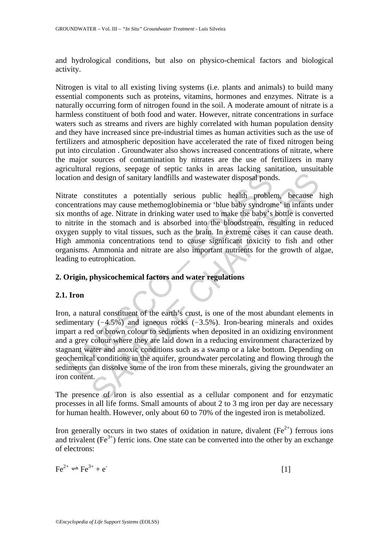and hydrological conditions, but also on physico-chemical factors and biological activity.

Nitrogen is vital to all existing living systems (i.e. plants and animals) to build many essential components such as proteins, vitamins, hormones and enzymes. Nitrate is a naturally occurring form of nitrogen found in the soil. A moderate amount of nitrate is a harmless constituent of both food and water. However, nitrate concentrations in surface waters such as streams and rivers are highly correlated with human population density and they have increased since pre-industrial times as human activities such as the use of fertilizers and atmospheric deposition have accelerated the rate of fixed nitrogen being put into circulation . Groundwater also shows increased concentrations of nitrate, where the major sources of contamination by nitrates are the use of fertilizers in many agricultural regions, seepage of septic tanks in areas lacking sanitation, unsuitable location and design of sanitary landfills and wastewater disposal ponds.

tion and design of sanitary landfills and wastewater disposal pond<br>ate constitutes a potentially serious public health proble<br>centrations may cause methemoglobinemia or 'blue baby syndrom<br>momths of age. Nitrate in drinkin Nitrate constitutes a potentially serious public health problem, because high concentrations may cause methemoglobinemia or 'blue baby syndrome' in infants under six months of age. Nitrate in drinking water used to make the baby's bottle is converted to nitrite in the stomach and is absorbed into the bloodstream, resulting in reduced oxygen supply to vital tissues, such as the brain. In extreme cases it can cause death. High ammonia concentrations tend to cause significant toxicity to fish and other organisms. Ammonia and nitrate are also important nutrients for the growth of algae, leading to eutrophication.

### **2. Origin, physicochemical factors and water regulations**

### **2.1. Iron**

d design of sanitary landfills and wastewater disposal ponds.<br>
d design of sanitary landfills and wastewater disposal ponds.<br>
mustitutes a potentially serious public health problem, because ons may cause methemoglobinemia Iron, a natural constituent of the earth's crust, is one of the most abundant elements in sedimentary  $(-4.5\%)$  and igneous rocks  $(-3.5\%)$ . Iron-bearing minerals and oxides impart a red or brown colour to sediments when deposited in an oxidizing environment and a grey colour where they are laid down in a reducing environment characterized by stagnant water and anoxic conditions such as a swamp or a lake bottom. Depending on geochemical conditions in the aquifer, groundwater percolating and flowing through the sediments can dissolve some of the iron from these minerals, giving the groundwater an iron content.

The presence of iron is also essential as a cellular component and for enzymatic processes in all life forms. Small amounts of about 2 to 3 mg iron per day are necessary for human health. However, only about 60 to 70% of the ingested iron is metabolized.

Iron generally occurs in two states of oxidation in nature, divalent ( $Fe^{2+}$ ) ferrous ions and trivalent  $(Fe<sup>3+</sup>)$  ferric ions. One state can be converted into the other by an exchange of electrons:

$$
\text{Fe}^{2+} \rightleftharpoons \text{Fe}^{3+} + \text{e}^{\text{-}} \tag{1}
$$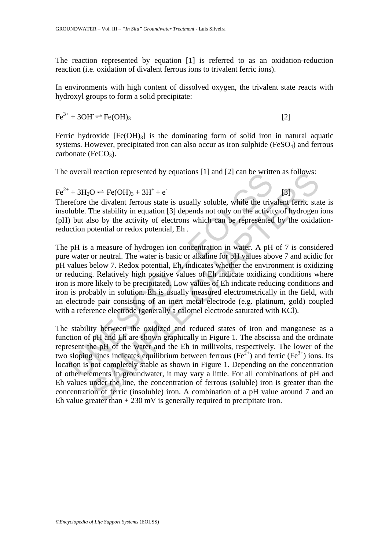The reaction represented by equation [1] is referred to as an oxidation-reduction reaction (i.e. oxidation of divalent ferrous ions to trivalent ferric ions).

In environments with high content of dissolved oxygen, the trivalent state reacts with hydroxyl groups to form a solid precipitate:

 $Fe^{3+} + 3OH \rightleftharpoons Fe(OH)_3$  [2]

Ferric hydroxide  $[Fe(OH)<sub>3</sub>]$  is the dominating form of solid iron in natural aquatic systems. However, precipitated iron can also occur as iron sulphide (FeSO<sub>4</sub>) and ferrous carbonate (FeCO<sub>3</sub>).

The overall reaction represented by equations [1] and [2] can be written as follows:

 $Fe^{2+} + 3H_2O \rightleftharpoons Fe(OH)_3 + 3H^+ + e^-$ 

Therefore the divalent ferrous state is usually soluble, while the trivalent ferric state is insoluble. The stability in equation [3] depends not only on the activity of hydrogen ions (pH) but also by the activity of electrons which can be represented by the oxidationreduction potential or redox potential, Eh .

[3]

overall reaction represented by equations [1] and [2] can be white<br>+ 3H<sub>2</sub>O  $\rightleftharpoons$  Fe(OH)<sub>3</sub> + 3H<sup>+</sup> + e<sup>-</sup><br>refore the divalent ferrous state is usually soluble, while the triv<br>luble. The stability in equation [3] depen The pH is a measure of hydrogen ion concentration in water. A pH of 7 is considered pure water or neutral. The water is basic or alkaline for pH values above 7 and acidic for pH values below 7. Redox potential, Eh, indicates whether the environment is oxidizing or reducing. Relatively high positive values of Eh indicate oxidizing conditions where iron is more likely to be precipitated. Low values of Eh indicate reducing conditions and iron is probably in solution. Eh is usually measured electrometrically in the field, with an electrode pair consisting of an inert metal electrode (e.g. platinum, gold) coupled with a reference electrode (generally a calomel electrode saturated with KCl).

I reaction represented by equations [1] and [2] can be written as follows:<br>  $O \leftarrow$  Fe(OH)<sub>3</sub> + 3H<sup>+</sup> + e<sup>1</sup> [3]<br>
the divalent ferrous state is usually soluble, while the trivalent ferric state<br>
The stability in equation [ The stability between the oxidized and reduced states of iron and manganese as a function of pH and Eh are shown graphically in Figure 1. The abscissa and the ordinate represent the pH of the water and the Eh in millivolts, respectively. The lower of the two sloping lines indicates equilibrium between ferrous ( $Fe^{2+}$ ) and ferric ( $Fe^{3+}$ ) ions. Its location is not completely stable as shown in Figure 1. Depending on the concentration of other elements in groundwater, it may vary a little. For all combinations of pH and Eh values under the line, the concentration of ferrous (soluble) iron is greater than the concentration of ferric (insoluble) iron. A combination of a pH value around 7 and an Eh value greater than  $+ 230$  mV is generally required to precipitate iron.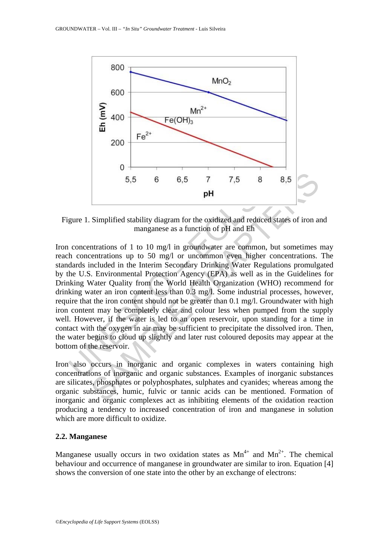

Figure 1. Simplified stability diagram for the oxidized and reduced states of iron and manganese as a function of pH and Eh

5.5 6 6.5 7 7.5 8<br> **pH**<br>
gure 1. Simplified stability diagram for the oxidized and reduced imanganese as a function of pH and Eh<br>
concentrations of 1 to 10 mg/1 in groundwater are common, b<br>
the concentrations up to 50 mg/ 5,5 6 6,5 7 7,5 8 8,5<br> **pH**<br>
Simplified stability diagram for the oxidized and reddeed states of iron and simplified stability diagram for the oxidized and reddeed states of iron and marginese as a function of pH and Eh<br> Iron concentrations of 1 to 10 mg/l in groundwater are common, but sometimes may reach concentrations up to 50 mg/l or uncommon even higher concentrations. The standards included in the Interim Secondary Drinking Water Regulations promulgated by the U.S. Environmental Protection Agency (EPA) as well as in the Guidelines for Drinking Water Quality from the World Health Organization (WHO) recommend for drinking water an iron content less than 0.3 mg/l. Some industrial processes, however, require that the iron content should not be greater than 0.1 mg/l. Groundwater with high iron content may be completely clear and colour less when pumped from the supply well. However, if the water is led to an open reservoir, upon standing for a time in contact with the oxygen in air may be sufficient to precipitate the dissolved iron. Then, the water begins to cloud up slightly and later rust coloured deposits may appear at the bottom of the reservoir.

Iron also occurs in inorganic and organic complexes in waters containing high concentrations of inorganic and organic substances. Examples of inorganic substances are silicates, phosphates or polyphosphates, sulphates and cyanides; whereas among the organic substances, humic, fulvic or tannic acids can be mentioned. Formation of inorganic and organic complexes act as inhibiting elements of the oxidation reaction producing a tendency to increased concentration of iron and manganese in solution which are more difficult to oxidize.

### **2.2. Manganese**

Manganese usually occurs in two oxidation states as  $Mn^{4+}$  and  $Mn^{2+}$ . The chemical behaviour and occurrence of manganese in groundwater are similar to iron. Equation [4] shows the conversion of one state into the other by an exchange of electrons: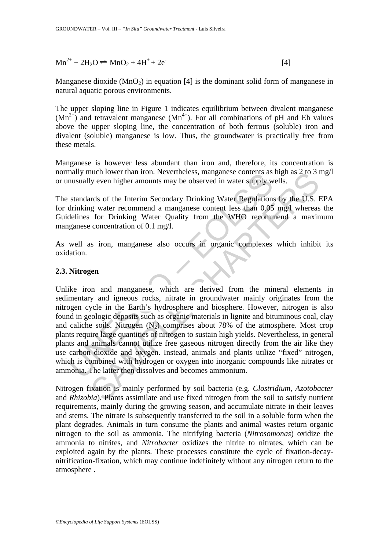$Mn^{2+} + 2H_2O \rightleftharpoons MnO_2 + 4H^+ + 2e^-$ [4]

Manganese dioxide  $(MnO<sub>2</sub>)$  in equation [4] is the dominant solid form of manganese in natural aquatic porous environments.

The upper sloping line in Figure 1 indicates equilibrium between divalent manganese  $(Mn^{2+})$  and tetravalent manganese  $(Mn^{4+})$ . For all combinations of pH and Eh values above the upper sloping line, the concentration of both ferrous (soluble) iron and divalent (soluble) manganese is low. Thus, the groundwater is practically free from these metals.

Manganese is however less abundant than iron and, therefore, its concentration is normally much lower than iron. Nevertheless, manganese contents as high as 2 to 3 mg/l or unusually even higher amounts may be observed in water supply wells.

The standards of the Interim Secondary Drinking Water Regulations by the U.S. EPA for drinking water recommend a manganese content less than 0.05 mg/l whereas the Guidelines for Drinking Water Quality from the WHO recommend a maximum manganese concentration of 0.1 mg/l.

As well as iron, manganese also occurs in organic complexes which inhibit its oxidation.

### **2.3. Nitrogen**

many much lower than floth. Nevertheless, mangalese contents as<br>nusually even higher amounts may be observed in water supply w<br>standards of the Interim Secondary Drinking Water Regulations<br>drinking water recommend a mangan nuch lower than iron. Nevertheless, manganese contents as high as 2 to 3 is<br>y even higher amounts may be observed in water supply wells.<br>The start recommend a amaganese content less than 0.05 mg/ where Equalitions by the U Unlike iron and manganese, which are derived from the mineral elements in sedimentary and igneous rocks, nitrate in groundwater mainly originates from the nitrogen cycle in the Earth's hydrosphere and biosphere. However, nitrogen is also found in geologic deposits such as organic materials in lignite and bituminous coal, clay and caliche soils. Nitrogen  $(N_2)$  comprises about 78% of the atmosphere. Most crop plants require large quantities of nitrogen to sustain high yields. Nevertheless, in general plants and animals cannot utilize free gaseous nitrogen directly from the air like they use carbon dioxide and oxygen. Instead, animals and plants utilize "fixed" nitrogen, which is combined with hydrogen or oxygen into inorganic compounds like nitrates or ammonia. The latter then dissolves and becomes ammonium.

Nitrogen fixation is mainly performed by soil bacteria (e.g. *Clostridium*, *Azotobacter*  and *Rhizobia*). Plants assimilate and use fixed nitrogen from the soil to satisfy nutrient requirements, mainly during the growing season, and accumulate nitrate in their leaves and stems. The nitrate is subsequently transferred to the soil in a soluble form when the plant degrades. Animals in turn consume the plants and animal wastes return organic nitrogen to the soil as ammonia. The nitrifying bacteria (*Nitrosomonas*) oxidize the ammonia to nitrites, and *Nitrobacter* oxidizes the nitrite to nitrates, which can be exploited again by the plants. These processes constitute the cycle of fixation-decaynitrification-fixation, which may continue indefinitely without any nitrogen return to the atmosphere .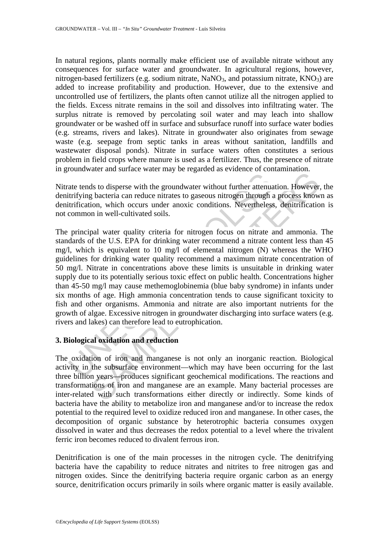In natural regions, plants normally make efficient use of available nitrate without any consequences for surface water and groundwater. In agricultural regions, however, nitrogen-based fertilizers (e.g. sodium nitrate, NaNO<sub>3</sub>, and potassium nitrate,  $KNO<sub>3</sub>$ ) are added to increase profitability and production. However, due to the extensive and uncontrolled use of fertilizers, the plants often cannot utilize all the nitrogen applied to the fields. Excess nitrate remains in the soil and dissolves into infiltrating water. The surplus nitrate is removed by percolating soil water and may leach into shallow groundwater or be washed off in surface and subsurface runoff into surface water bodies (e.g. streams, rivers and lakes). Nitrate in groundwater also originates from sewage waste (e.g. seepage from septic tanks in areas without sanitation, landfills and wastewater disposal ponds). Nitrate in surface waters often constitutes a serious problem in field crops where manure is used as a fertilizer. Thus, the presence of nitrate in groundwater and surface water may be regarded as evidence of contamination.

Nitrate tends to disperse with the groundwater without further attenuation. However, the denitrifying bacteria can reduce nitrates to gaseous nitrogen through a process known as denitrification, which occurs under anoxic conditions. Nevertheless, denitrification is not common in well-cultivated soils.

ate tends to disperse with the groundwater without further attenua<br>triftying bacteria can reduce nitrates to gaseous nitrogen through a<br>trification, which occurs under anoxic conditions. Nevertheless<br>common in well-cultiva The material and reduction and reduction<br>and results of the state of the state of the state of the state of the state of the state of the state of the state of the U.S. EPA for drinking water recommend a nitrate and ammoni The principal water quality criteria for nitrogen focus on nitrate and ammonia. The standards of the U.S. EPA for drinking water recommend a nitrate content less than 45 mg/l, which is equivalent to 10 mg/l of elemental nitrogen (N) whereas the WHO guidelines for drinking water quality recommend a maximum nitrate concentration of 50 mg/l. Nitrate in concentrations above these limits is unsuitable in drinking water supply due to its potentially serious toxic effect on public health. Concentrations higher than 45-50 mg/l may cause methemoglobinemia (blue baby syndrome) in infants under six months of age. High ammonia concentration tends to cause significant toxicity to fish and other organisms. Ammonia and nitrate are also important nutrients for the growth of algae. Excessive nitrogen in groundwater discharging into surface waters (e.g. rivers and lakes) can therefore lead to eutrophication.

### **3. Biological oxidation and reduction**

The oxidation of iron and manganese is not only an inorganic reaction. Biological activity in the subsurface environment—which may have been occurring for the last three billion years—produces significant geochemical modifications. The reactions and transformations of iron and manganese are an example. Many bacterial processes are inter-related with such transformations either directly or indirectly. Some kinds of bacteria have the ability to metabolize iron and manganese and/or to increase the redox potential to the required level to oxidize reduced iron and manganese. In other cases, the decomposition of organic substance by heterotrophic bacteria consumes oxygen dissolved in water and thus decreases the redox potential to a level where the trivalent ferric iron becomes reduced to divalent ferrous iron.

Denitrification is one of the main processes in the nitrogen cycle. The denitrifying bacteria have the capability to reduce nitrates and nitrites to free nitrogen gas and nitrogen oxides. Since the denitrifying bacteria require organic carbon as an energy source, denitrification occurs primarily in soils where organic matter is easily available.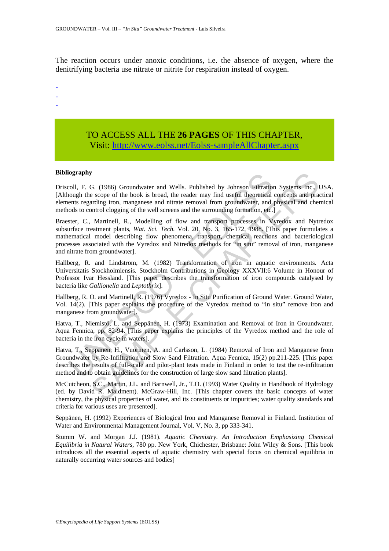The reaction occurs under anoxic conditions, i.e. the absence of oxygen, where the denitrifying bacteria use nitrate or nitrite for respiration instead of oxygen.

-

- -
- -

## TO ACCESS ALL THE **26 PAGES** OF THIS CHAPTER, Visit: [http://www.eolss.net/Eolss-sampleAllChapter.aspx](https://www.eolss.net/ebooklib/sc_cart.aspx?File=E2-09-08-05)

#### **Bibliography**

Driscoll, F. G. (1986) Groundwater and Wells. Published by Johnson Filtration Systems Inc., USA. [Although the scope of the book is broad, the reader may find useful theoretical concepts and practical elements regarding iron, manganese and nitrate removal from groundwater, and physical and chemical methods to control clogging of the well screens and the surrounding formation, etc.]

ography<br>
coll, F. G. (1986) Groundwater and Wells. Published by Johnson Filtration<br>
coll, F. G. (1986) of the book is broad, the reader may find useful theoretical<br>
enents regarding iron, manganese and nitrate removal from **S**<br>
G. (1986) Groundwater and Wells. Published by Johnson Fiftration Systems Inc., excepte of the book is broad, the reader may find useful theoretical concepts and practing iron, manganese and nitrate removal from groun Braester, C., Martinell, R., Modelling of flow and transport processes in Vyredox and Nytredox subsurface treatment plants, *Wat. Sci. Tech.* Vol. 20, No. 3, 165-172, 1988. [This paper formulates a mathematical model describing flow phenomena, transport, chemical reactions and bacteriological processes associated with the Vyredox and Nitredox methods for "in situ" removal of iron, manganese and nitrate from groundwater].

Hallberg, R. and Lindström, M. (1982) Transformation of iron in aquatic environments. Acta Universitatis Stockholmiensis. Stockholm Contributions in Geology XXXVII:6 Volume in Honour of Professor Ivar Hessland. [This paper describes the transformation of iron compounds catalysed by bacteria like *Gallionella* and *Leptothrix*].

Hallberg, R. O. and Martinell, R. (1976) Vyredox - In Situ Purification of Ground Water. Ground Water, Vol. 14(2). [This paper explains the procedure of the Vyredox method to "in situ" remove iron and manganese from groundwater].

Hatva, T., Niemistö, L. and Seppänen, H. (1973) Examination and Removal of Iron in Groundwater. Aqua Fennica, pp. 82-94. [This paper explains the principles of the Vyredox method and the role of bacteria in the iron cycle in waters].

Hatva, T., Seppänen, H., Vuorinen, A. and Carlsson, L. (1984) Removal of Iron and Manganese from Groundwater by Re-Infiltration and Slow Sand Filtration. Aqua Fennica, 15(2) pp.211-225. [This paper describes the results of full-scale and pilot-plant tests made in Finland in order to test the re-infiltration method and to obtain guidelines for the construction of large slow sand filtration plants].

McCutcheon, S.C., Martin, J.L. and Barnwell, Jr., T.O. (1993) Water Quality in Handbook of Hydrology (ed. by David R. Maidment). McGraw-Hill, Inc. [This chapter covers the basic concepts of water chemistry, the physical properties of water, and its constituents or impurities; water quality standards and criteria for various uses are presented].

Seppänen, H. (1992) Experiences of Biological Iron and Manganese Removal in Finland. Institution of Water and Environmental Management Journal, Vol. V, No. 3, pp 333-341.

Stumm W. and Morgan J.J. (1981). *Aquatic Chemistry. An Introduction Emphasizing Chemical Equilibria in Natural Waters*, 780 pp. New York, Chichester, Brisbane: John Wiley & Sons. [This book introduces all the essential aspects of aquatic chemistry with special focus on chemical equilibria in naturally occurring water sources and bodies]